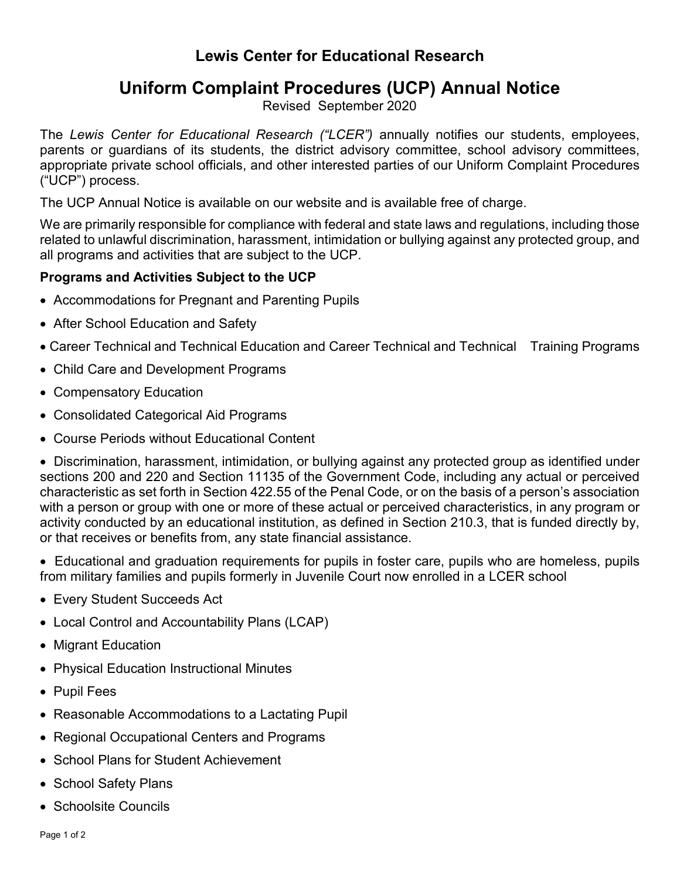## **Lewis Center for Educational Research**

# **Uniform Complaint Procedures (UCP) Annual Notice**

Revised September 2020

The *Lewis Center for Educational Research ("LCER")* annually notifies our students, employees, parents or guardians of its students, the district advisory committee, school advisory committees, appropriate private school officials, and other interested parties of our Uniform Complaint Procedures ("UCP") process.

The UCP Annual Notice is available on our website and is available free of charge.

We are primarily responsible for compliance with federal and state laws and regulations, including those related to unlawful discrimination, harassment, intimidation or bullying against any protected group, and all programs and activities that are subject to the UCP.

### **Programs and Activities Subject to the UCP**

- Accommodations for Pregnant and Parenting Pupils
- After School Education and Safety
- Career Technical and Technical Education and Career Technical and Technical Training Programs
- Child Care and Development Programs
- Compensatory Education
- Consolidated Categorical Aid Programs
- Course Periods without Educational Content

• Discrimination, harassment, intimidation, or bullying against any protected group as identified under sections 200 and 220 and Section 11135 of the Government Code, including any actual or perceived characteristic as set forth in Section 422.55 of the Penal Code, or on the basis of a person's association with a person or group with one or more of these actual or perceived characteristics, in any program or activity conducted by an educational institution, as defined in Section 210.3, that is funded directly by, or that receives or benefits from, any state financial assistance.

• Educational and graduation requirements for pupils in foster care, pupils who are homeless, pupils from military families and pupils formerly in Juvenile Court now enrolled in a LCER school

- Every Student Succeeds Act
- Local Control and Accountability Plans (LCAP)
- Migrant Education
- Physical Education Instructional Minutes
- Pupil Fees
- Reasonable Accommodations to a Lactating Pupil
- Regional Occupational Centers and Programs
- School Plans for Student Achievement
- School Safety Plans
- Schoolsite Councils